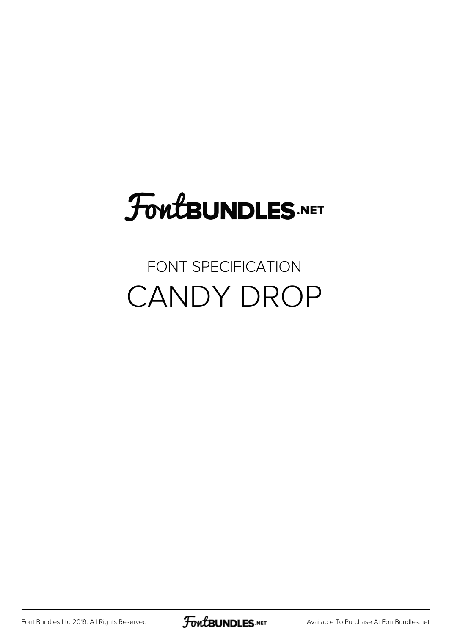## FoutBUNDLES.NET

#### FONT SPECIFICATION CANDY DROP

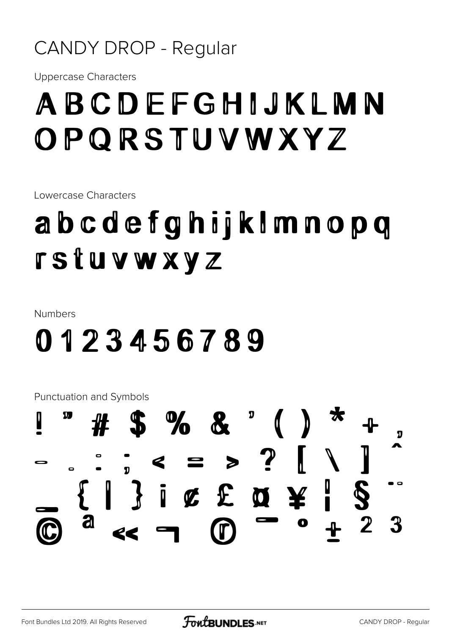#### **CANDY DROP - Regular**

**Uppercase Characters** 

#### ABCDEFGHIJKLMN OPQRSTUVWXYZ

Lowercase Characters

### abcdefghijkImnopq **rstuvwxyz**

**Numbers** 

#### 0123456789

**Punctuation and Symbols** 

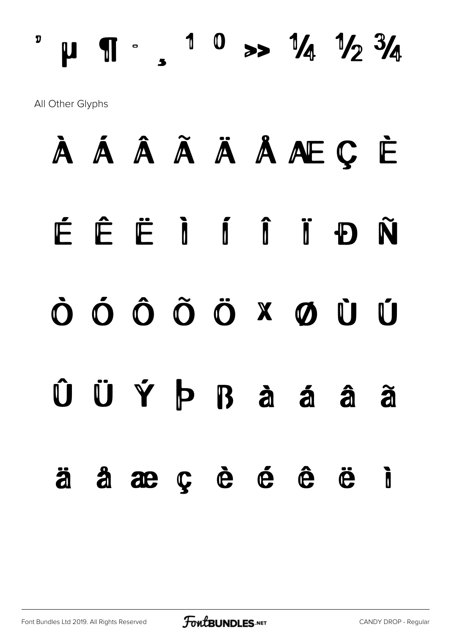$^{\circ}$  µ  $\P$   $\cdot$   $\cdot$   $^{\circ}$   $^{\circ}$   $\cdot$   $^{\circ}$   $\frac{1}{4}$   $^{\circ}$   $\frac{1}{4}$   $^{\circ}$   $\frac{1}{4}$   $^{\circ}$   $\frac{3}{4}$ All Other Glyphs

# À Á Â Ã Ä Å Æ Ç È É Ê Ë Ì Í Î Ï Ð Ñ Ò Ó Ô Õ Ö × Ø Ù Ú Û Ü Ý Þ ß à á â ã ä å æ ç è é ê ë ì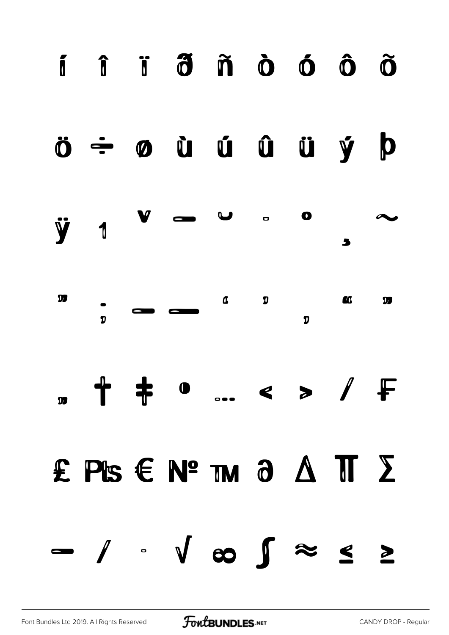

#### ö ÷ ø ù ú û ü ý þ



| <u>V</u> | $\overline{\phantom{a}}$ $\overline{\phantom{a}}$ |  | $\alpha$ or |  |
|----------|---------------------------------------------------|--|-------------|--|
|          |                                                   |  |             |  |

# " † ‡ • … ‹ › ⁄ ₣

# ₤ ₧ € № ™ ∂ ∆ ∏ ∑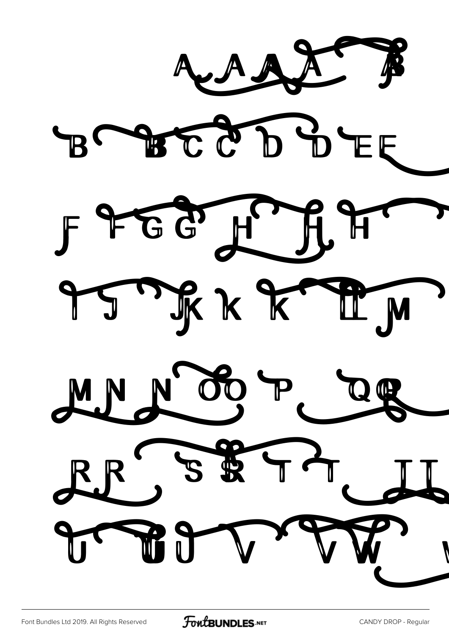